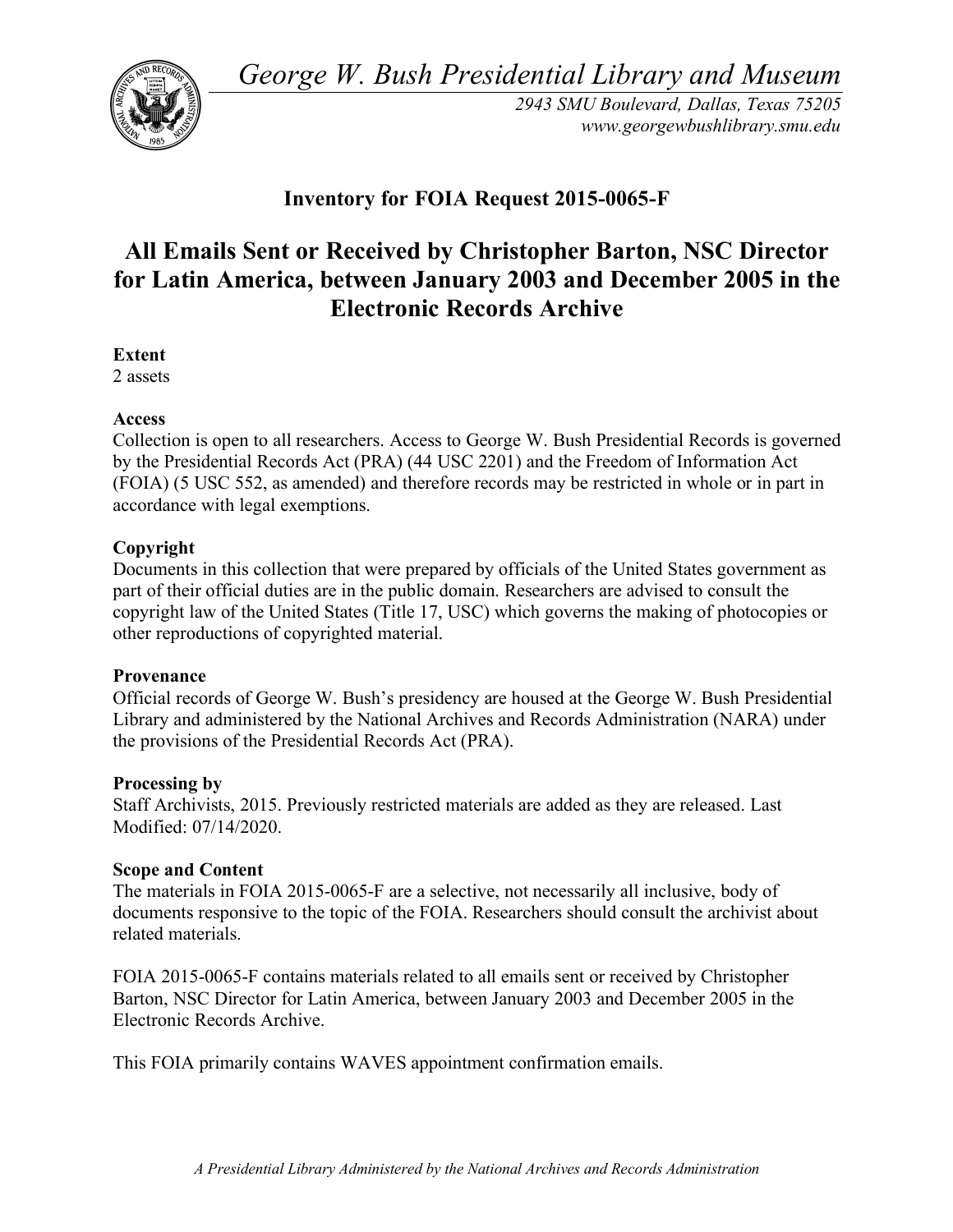*George W. Bush Presidential Library and Museum* 



*2943 SMU Boulevard, Dallas, Texas 75205 <www.georgewbushlibrary.smu.edu>* 

# **Inventory for FOIA Request 2015-0065-F**

# **All Emails Sent or Received by Christopher Barton, NSC Director for Latin America, between January 2003 and December 2005 in the Electronic Records Archive**

**Extent** 

2 assets

# **Access**

 Collection is open to all researchers. Access to George W. Bush Presidential Records is governed by the Presidential Records Act (PRA) (44 USC 2201) and the Freedom of Information Act (FOIA) (5 USC 552, as amended) and therefore records may be restricted in whole or in part in accordance with legal exemptions.

### **Copyright**

 Documents in this collection that were prepared by officials of the United States government as part of their official duties are in the public domain. Researchers are advised to consult the copyright law of the United States (Title 17, USC) which governs the making of photocopies or other reproductions of copyrighted material.

#### **Provenance**

 Official records of George W. Bush's presidency are housed at the George W. Bush Presidential Library and administered by the National Archives and Records Administration (NARA) under the provisions of the Presidential Records Act (PRA).

#### **Processing by**

 Staff Archivists, 2015. Previously restricted materials are added as they are released. Last Modified: 07/14/2020.

# **Scope and Content**

 The materials in FOIA 2015-0065-F are a selective, not necessarily all inclusive, body of documents responsive to the topic of the FOIA. Researchers should consult the archivist about related materials.

 FOIA 2015-0065-F contains materials related to all emails sent or received by Christopher Barton, NSC Director for Latin America, between January 2003 and December 2005 in the Electronic Records Archive.

This FOIA primarily contains WAVES appointment confirmation emails.